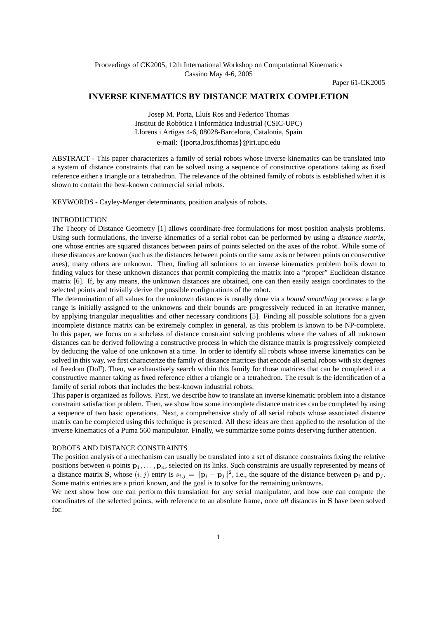Paper 61-CK2005

# **INVERSE KINEMATICS BY DISTANCE MATRIX COMPLETION**

Josep M. Porta, Lluís Ros and Federico Thomas Institut de Robòtica i Informàtica Industrial (CSIC-UPC) Llorens i Artigas 4-6, 08028-Barcelona, Catalonia, Spain e-mail: {jporta,lros,fthomas}@iri.upc.edu

ABSTRACT - This paper characterizes a family of serial robots whose inverse kinematics can be translated into a system of distance constraints that can be solved using a sequence of constructive operations taking as fixed reference either a triangle or a tetrahedron. The relevance of the obtained family of robots is established when it is shown to contain the best-known commercial serial robots.

KEYWORDS - Cayley-Menger determinants, position analysis of robots.

## INTRODUCTION

The Theory of Distance Geometry [1] allows coordinate-free formulations for most position analysis problems. Using such formulations, the inverse kinematics of a serial robot can be performed by using a *distance matrix*, one whose entries are squared distances between pairs of points selected on the axes of the robot. While some of these distances are known (such as the distances between points on the same axis or between points on consecutive axes), many others are unknown. Then, finding all solutions to an inverse kinematics problem boils down to finding values for these unknown distances that permit completing the matrix into a "proper" Euclidean distance matrix [6]. If, by any means, the unknown distances are obtained, one can then easily assign coordinates to the selected points and trivially derive the possible configurations of the robot.

The determination of all values for the unknown distances is usually done via a *bound smoothing* process: a large range is initially assigned to the unknowns and their bounds are progressively reduced in an iterative manner, by applying triangular inequalities and other necessary conditions [5]. Finding all possible solutions for a given incomplete distance matrix can be extremely complex in general, as this problem is known to be NP-complete. In this paper, we focus on a subclass of distance constraint solving problems where the values of all unknown distances can be derived following a constructive process in which the distance matrix is progressively completed by deducing the value of one unknown at a time. In order to identify all robots whose inverse kinematics can be solved in this way, we first characterize the family of distance matrices that encode all serial robots with six degrees of freedom (DoF). Then, we exhaustively search within this family for those matrices that can be completed in a constructive manner taking as fixed reference either a triangle or a tetrahedron. The result is the identification of a family of serial robots that includes the best-known industrial robots.

This paper is organized as follows. First, we describe how to translate an inverse kinematic problem into a distance constraint satisfaction problem. Then, we show how some incomplete distance matrices can be completed by using a sequence of two basic operations. Next, a comprehensive study of all serial robots whose associated distance matrix can be completed using this technique is presented. All these ideas are then applied to the resolution of the inverse kinematics of a Puma 560 manipulator. Finally, we summarize some points deserving further attention.

## ROBOTS AND DISTANCE CONSTRAINTS

The position analysis of a mechanism can usually be translated into a set of distance constraints fixing the relative positions between n points  $\mathbf{p}_1,\ldots,\mathbf{p}_n$ , selected on its links. Such constraints are usually represented by means of a distance matrix **S**, whose  $(i, j)$  entry is  $s_{i,j} = ||\mathbf{p}_i - \mathbf{p}_j||^2$ , i.e., the square of the distance between  $\mathbf{p}_i$  and  $\mathbf{p}_j$ . Some matrix entries are a priori known, and the goal is to solve for the remaining unknowns.

We next show how one can perform this translation for any serial manipulator, and how one can compute the coordinates of the selected points, with reference to an absolute frame, once *all* distances in **S** have been solved for.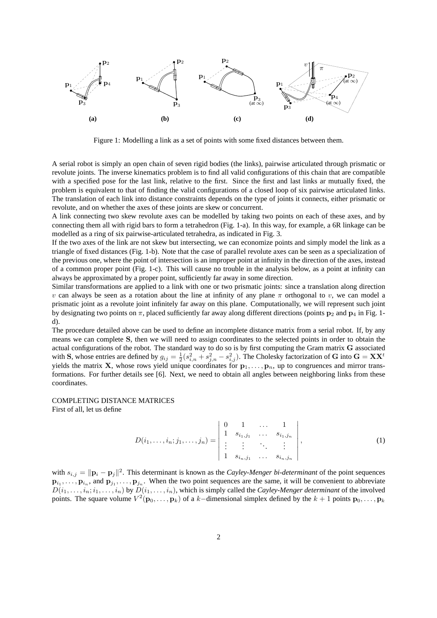

Figure 1: Modelling a link as a set of points with some fixed distances between them.

A serial robot is simply an open chain of seven rigid bodies (the links), pairwise articulated through prismatic or revolute joints. The inverse kinematics problem is to find all valid configurations of this chain that are compatible with a specified pose for the last link, relative to the first. Since the first and last links ar mutually fixed, the problem is equivalent to that of finding the valid configurations of a closed loop of six pairwise articulated links. The translation of each link into distance constraints depends on the type of joints it connects, either prismatic or revolute, and on whether the axes of these joints are skew or concurrent.

A link connecting two skew revolute axes can be modelled by taking two points on each of these axes, and by connecting them all with rigid bars to form a tetrahedron (Fig. 1-a). In this way, for example, a 6R linkage can be modelled as a ring of six pairwise-articulated tetrahedra, as indicated in Fig. 3.

If the two axes of the link are not skew but intersecting, we can economize points and simply model the link as a triangle of fixed distances (Fig. 1-b). Note that the case of parallel revolute axes can be seen as a specialization of the previous one, where the point of intersection is an improper point at infinity in the direction of the axes, instead of a common proper point (Fig. 1-c). This will cause no trouble in the analysis below, as a point at infinity can always be approximated by a proper point, sufficiently far away in some direction.

Similar transformations are applied to a link with one or two prismatic joints: since a translation along direction v can always be seen as a rotation about the line at infinity of any plane  $\pi$  orthogonal to v, we can model a prismatic joint as a revolute joint infinitely far away on this plane. Computationally, we will represent such joint by designating two points on π, placed sufficiently far away along different directions (points **p**<sup>2</sup> and **p**<sup>4</sup> in Fig. 1 d).

The procedure detailed above can be used to define an incomplete distance matrix from a serial robot. If, by any means we can complete **S**, then we will need to assign coordinates to the selected points in order to obtain the actual configurations of the robot. The standard way to do so is by first computing the Gram matrix **G** associated with S, whose entries are defined by  $g_{ij} = \frac{1}{2}(s_{i,n}^2 + s_{j,n}^2 - s_{i,j}^2)$ . The Cholesky factorization of G into  $G = XX^t$ yields the matrix **X**, whose rows yield unique coordinates for  $\mathbf{p}_1,\ldots,\mathbf{p}_n$ , up to congruences and mirror transformations. For further details see [6]. Next, we need to obtain all angles between neighboring links from these coordinates.

## COMPLETING DISTANCE MATRICES

First of all, let us define

$$
D(i_1, \ldots, i_n; j_1, \ldots, j_n) = \begin{vmatrix} 0 & 1 & \ldots & 1 \\ 1 & s_{i_1, j_1} & \ldots & s_{i_1, j_n} \\ \vdots & \vdots & \ddots & \vdots \\ 1 & s_{i_n, j_1} & \ldots & s_{i_n, j_n} \end{vmatrix},
$$
 (1)

with  $s_{i,j} = ||\mathbf{p}_i - \mathbf{p}_j||^2$ . This determinant is known as the *Cayley-Menger bi-determinant* of the point sequences  $\mathbf{p}_{i_1}, \ldots, \mathbf{p}_{i_n}$ , and  $\mathbf{p}_{j_1}, \ldots, \mathbf{p}_{j_n}$ . When the two point sequences are the same, it will be convenient to abbreviate  $D(i_1,\ldots,i_n;i_1,\ldots,i_n)$  by  $D(i_1,\ldots,i_n)$ , which is simply called the *Cayley-Menger determinant* of the involved points. The square volume  $V^2(\mathbf{p}_0,\ldots,\mathbf{p}_k)$  of a k-dimensional simplex defined by the  $k+1$  points  $\mathbf{p}_0,\ldots,\mathbf{p}_k$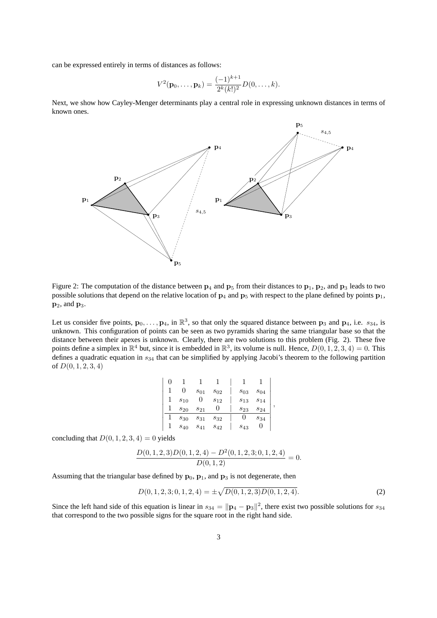can be expressed entirely in terms of distances as follows:

$$
V^{2}(\mathbf{p}_{0},\ldots,\mathbf{p}_{k})=\frac{(-1)^{k+1}}{2^{k}(k!)^{2}}D(0,\ldots,k).
$$

Next, we show how Cayley-Menger determinants play a central role in expressing unknown distances in terms of known ones.



Figure 2: The computation of the distance between  $p_4$  and  $p_5$  from their distances to  $p_1$ ,  $p_2$ , and  $p_3$  leads to two possible solutions that depend on the relative location of **p**<sup>4</sup> and **p**<sup>5</sup> with respect to the plane defined by points **p**1,  $\mathbf{p}_2$ , and  $\mathbf{p}_3$ .

Let us consider five points,  $\mathbf{p}_0, \ldots, \mathbf{p}_4$ , in  $\mathbb{R}^3$ , so that only the squared distance between  $\mathbf{p}_3$  and  $\mathbf{p}_4$ , i.e.  $s_{34}$ , is unknown. This configuration of points can be seen as two pyramids sharing the same triangular base so that the distance between their apexes is unknown. Clearly, there are two solutions to this problem (Fig. 2). These five points define a simplex in  $\mathbb{R}^4$  but, since it is embedded in  $\mathbb{R}^3$ , its volume is null. Hence,  $D(0, 1, 2, 3, 4) = 0$ . This defines a quadratic equation in  $s_{34}$  that can be simplified by applying Jacobi's theorem to the following partition of  $D(0, 1, 2, 3, 4)$ 

| , |
|---|
|   |
|   |
|   |

concluding that  $D(0, 1, 2, 3, 4) = 0$  yields

$$
\frac{D(0,1,2,3)D(0,1,2,4) - D^{2}(0,1,2,3;0,1,2,4)}{D(0,1,2)} = 0.
$$

Assuming that the triangular base defined by  $\mathbf{p}_0$ ,  $\mathbf{p}_1$ , and  $\mathbf{p}_3$  is not degenerate, then

$$
D(0, 1, 2, 3; 0, 1, 2, 4) = \pm \sqrt{D(0, 1, 2, 3)D(0, 1, 2, 4)}.
$$
 (2)

Since the left hand side of this equation is linear in  $s_{34} = ||\mathbf{p}_4 - \mathbf{p}_3||^2$ , there exist two possible solutions for  $s_{34}$ that correspond to the two possible signs for the square root in the right hand side.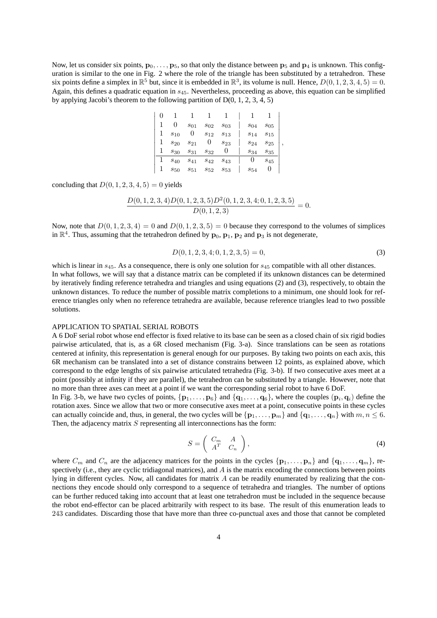Now, let us consider six points,  $\mathbf{p}_0, \ldots, \mathbf{p}_5$ , so that only the distance between  $\mathbf{p}_5$  and  $\mathbf{p}_4$  is unknown. This configuration is similar to the one in Fig. 2 where the role of the triangle has been substituted by a tetrahedron. These six points define a simplex in  $\mathbb{R}^5$  but, since it is embedded in  $\mathbb{R}^3$ , its volume is null. Hence,  $D(0, 1, 2, 3, 4, 5) = 0$ . Again, this defines a quadratic equation in  $s_{45}$ . Nevertheless, proceeding as above, this equation can be simplified by applying Jacobi's theorem to the following partition of  $D(0, 1, 2, 3, 4, 5)$ 

|   |          | $s_{01}$ | $s_{02}$ | $s_{03}$ | $s_{04}$ | $s_{05}$ |   |
|---|----------|----------|----------|----------|----------|----------|---|
|   | $s_{10}$ | 0        | $s_{12}$ | $s_{13}$ | $s_{14}$ | $s_{15}$ |   |
| 1 | $s_{20}$ | $s_{21}$ | O        | $s_{23}$ | $s_{24}$ | $s_{25}$ | , |
|   | $s_{30}$ | $s_{31}$ | $s_{32}$ |          | $s_{34}$ | $s_{35}$ |   |
| ı | $s_{40}$ | $s_{41}$ | $s_{42}$ | $s_{43}$ | U        | $s_{45}$ |   |
|   | $s_{50}$ | $s_{51}$ | $s_{52}$ | $s_{53}$ | $s_{54}$ |          |   |

concluding that  $D(0, 1, 2, 3, 4, 5) = 0$  yields

$$
\frac{D(0,1,2,3,4)D(0,1,2,3,5)D^2(0,1,2,3,4;0,1,2,3,5)}{D(0,1,2,3)} = 0.
$$

Now, note that  $D(0, 1, 2, 3, 4) = 0$  and  $D(0, 1, 2, 3, 5) = 0$  because they correspond to the volumes of simplices in  $\mathbb{R}^4$ . Thus, assuming that the tetrahedron defined by  $\mathbf{p}_0$ ,  $\mathbf{p}_1$ ,  $\mathbf{p}_2$  and  $\mathbf{p}_3$  is not degenerate,

$$
D(0, 1, 2, 3, 4; 0, 1, 2, 3, 5) = 0,
$$
\n(3)

which is linear in  $s_{45}$ . As a consequence, there is only one solution for  $s_{45}$  compatible with all other distances. In what follows, we will say that a distance matrix can be completed if its unknown distances can be determined by iteratively finding reference tetrahedra and triangles and using equations (2) and (3), respectively, to obtain the unknown distances. To reduce the number of possible matrix completions to a minimum, one should look for reference triangles only when no reference tetrahedra are available, because reference triangles lead to two possible solutions.

### APPLICATION TO SPATIAL SERIAL ROBOTS

A 6 DoF serial robot whose end effector is fixed relative to its base can be seen as a closed chain of six rigid bodies pairwise articulated, that is, as a 6R closed mechanism (Fig. 3-a). Since translations can be seen as rotations centered at infinity, this representation is general enough for our purposes. By taking two points on each axis, this 6R mechanism can be translated into a set of distance constrains between 12 points, as explained above, which correspond to the edge lengths of six pairwise articulated tetrahedra (Fig. 3-b). If two consecutive axes meet at a point (possibly at infinity if they are parallel), the tetrahedron can be substituted by a triangle. However, note that no more than three axes can meet at a point if we want the corresponding serial robot to have 6 DoF.

In Fig. 3-b, we have two cycles of points,  $\{p_1, \ldots, p_6\}$  and  $\{q_1, \ldots, q_6\}$ , where the couples  $(p_i, q_i)$  define the rotation axes. Since we allow that two or more consecutive axes meet at a point, consecutive points in these cycles can actually coincide and, thus, in general, the two cycles will be  $\{p_1, \ldots, p_m\}$  and  $\{q_1, \ldots, q_n\}$  with  $m, n \leq 6$ . Then, the adjacency matrix  $S$  representing all interconnections has the form:

$$
S = \left(\begin{array}{cc} C_m & A \\ A^T & C_n \end{array}\right),\tag{4}
$$

where  $C_m$  and  $C_n$  are the adjacency matrices for the points in the cycles  $\{p_1, \ldots, p_n\}$  and  $\{q_1, \ldots, q_m\}$ , respectively (i.e., they are cyclic tridiagonal matrices), and  $A$  is the matrix encoding the connections between points lying in different cycles. Now, all candidates for matrix A can be readily enumerated by realizing that the connections they encode should only correspond to a sequence of tetrahedra and triangles. The number of options can be further reduced taking into account that at least one tetrahedron must be included in the sequence because the robot end-effector can be placed arbitrarily with respect to its base. The result of this enumeration leads to 243 candidates. Discarding those that have more than three co-punctual axes and those that cannot be completed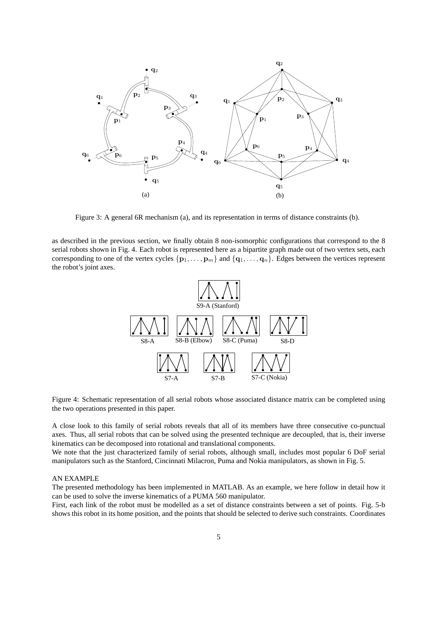

Figure 3: A general 6R mechanism (a), and its representation in terms of distance constraints (b).

as described in the previous section, we finally obtain 8 non-isomorphic configurations that correspond to the 8 serial robots shown in Fig. 4. Each robot is represented here as a bipartite graph made out of two vertex sets, each corresponding to one of the vertex cycles  $\{p_1, \ldots, p_m\}$  and  $\{q_1, \ldots, q_n\}$ . Edges between the vertices represent the robot's joint axes.



Figure 4: Schematic representation of all serial robots whose associated distance matrix can be completed using the two operations presented in this paper.

A close look to this family of serial robots reveals that all of its members have three consecutive co-punctual axes. Thus, all serial robots that can be solved using the presented technique are decoupled, that is, their inverse kinematics can be decomposed into rotational and translational components.

We note that the just characterized family of serial robots, although small, includes most popular 6 DoF serial manipulators such as the Stanford, Cincinnati Milacron, Puma and Nokia manipulators, as shown in Fig. 5.

#### AN EXAMPLE

The presented methodology has been implemented in MATLAB. As an example, we here follow in detail how it can be used to solve the inverse kinematics of a PUMA 560 manipulator.

First, each link of the robot must be modelled as a set of distance constraints between a set of points. Fig. 5-b shows this robot in its home position, and the points that should be selected to derive such constraints. Coordinates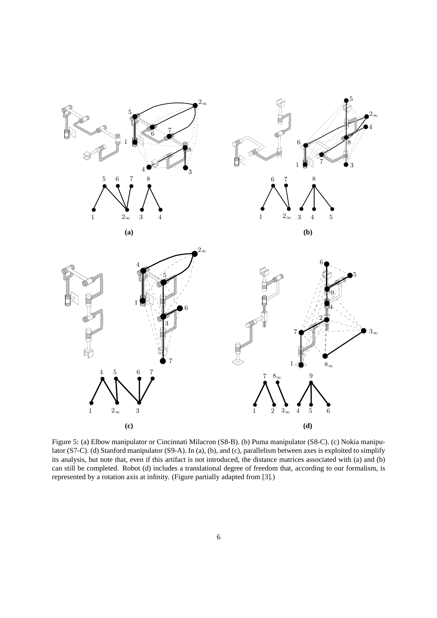

Figure 5: (a) Elbow manipulator or Cincinnati Milacron (S8-B). (b) Puma manipulator (S8-C). (c) Nokia manipulator (S7-C). (d) Stanford manipulator (S9-A). In (a), (b), and (c), parallelism between axes is exploited to simplify its analysis, but note that, even if this artifact is not introduced, the distance matrices associated with (a) and (b) can still be completed. Robot (d) includes a translational degree of freedom that, according to our formalism, is represented by a rotation axis at infinity. (Figure partially adapted from [3].)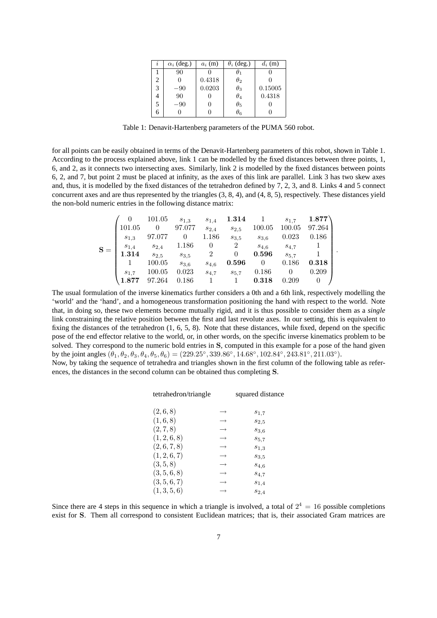| $\imath$ | $\alpha_i$ (deg.) | $a_i$ (m) | $\theta_i$ (deg.) | $d_i$ (m) |
|----------|-------------------|-----------|-------------------|-----------|
|          | 90                |           |                   |           |
| 2        |                   | 0.4318    | $\theta_2$        |           |
| 3        | $-90$             | 0.0203    | $\theta_3$        | 0.15005   |
| 4        | 90                |           | $\theta_4$        | 0.4318    |
| 5        | $-90$             |           | $\theta_5$        |           |
| 6        |                   |           | $\theta$ 6        |           |

Table 1: Denavit-Hartenberg parameters of the PUMA 560 robot.

for all points can be easily obtained in terms of the Denavit-Hartenberg parameters of this robot, shown in Table 1. According to the process explained above, link 1 can be modelled by the fixed distances between three points, 1, 6, and 2, as it connects two intersecting axes. Similarly, link 2 is modelled by the fixed distances between points 6, 2, and 7, but point 2 must be placed at infinity, as the axes of this link are parallel. Link 3 has two skew axes and, thus, it is modelled by the fixed distances of the tetrahedron defined by 7, 2, 3, and 8. Links 4 and 5 connect concurrent axes and are thus represented by the triangles (3, 8, 4), and (4, 8, 5), respectively. These distances yield the non-bold numeric entries in the following distance matrix:

|  |           | 101.05    | $s_{1,3}$ | $s_{1,4}$      | 1.314          |           | $s_{1.7}$ | 1.877  |
|--|-----------|-----------|-----------|----------------|----------------|-----------|-----------|--------|
|  | 101.05    |           | 97.077    | $s_{2,4}$      | $s_{2.5}$      | 100.05    | 100.05    | 97.264 |
|  | $s_{1,3}$ | 97.077    |           | 1.186          | $s_{3.5}$      | $s_{3,6}$ | 0.023     | 0.186  |
|  | $s_{1,4}$ | $s_{2,4}$ | 1.186     | 0              | $\overline{2}$ | $s_{4,6}$ | $s_{4.7}$ |        |
|  | 1.314     | $s_{2,5}$ | $s_{3,5}$ | $\overline{2}$ | $\theta$       | 0.596     | $S_{5.7}$ |        |
|  |           | 100.05    | $s_{3,6}$ | $s_{4,6}$      | 0.596          | $\theta$  | 0.186     | 0.318  |
|  | $s_{1.7}$ | 100.05    | 0.023     | $S_{4,7}$      | $S_{5.7}$      | 0.186     |           | 0.209  |
|  | 1.877     | 97.264    | 0.186     |                |                | 0.318     | 0.209     |        |

.

The usual formulation of the inverse kinematics further considers a 0th and a 6th link, respectively modelling the 'world' and the 'hand', and a homogeneous transformation positioning the hand with respect to the world. Note that, in doing so, these two elements become mutually rigid, and it is thus possible to consider them as a *single* link constraining the relative position between the first and last revolute axes. In our setting, this is equivalent to fixing the distances of the tetrahedron (1, 6, 5, 8). Note that these distances, while fixed, depend on the specific pose of the end effector relative to the world, or, in other words, on the specific inverse kinematics problem to be solved. They correspond to the numeric bold entries in **S**, computed in this example for a pose of the hand given by the joint angles  $(\theta_1, \theta_2, \theta_3, \theta_4, \theta_5, \theta_6) = (229.25°, 339.86°, 14.68°, 102.84°, 243.81°, 211.03°)$ .

Now, by taking the sequence of tetrahedra and triangles shown in the first column of the following table as references, the distances in the second column can be obtained thus completing **S**.

| tetrahedron/triangle |               | squared distance |
|----------------------|---------------|------------------|
| (2,6,8)              |               | $s_{1,7}$        |
| (1,6,8)              |               | $s_{2,5}$        |
| (2, 7, 8)            | $\rightarrow$ | $s_{3,6}$        |
| (1, 2, 6, 8)         |               | $s_{5,7}$        |
| (2, 6, 7, 8)         |               | $s_{1,3}$        |
| (1, 2, 6, 7)         |               | $s_{3,5}$        |
| (3, 5, 8)            |               | $s_{4,6}$        |
| (3, 5, 6, 8)         |               | $s_{4,7}$        |
| (3, 5, 6, 7)         |               | $s_{1,4}$        |
| (1, 3, 5, 6)         |               | $s_{2,4}$        |

Since there are 4 steps in this sequence in which a triangle is involved, a total of  $2^4 = 16$  possible completions exist for **S**. Them all correspond to consistent Euclidean matrices; that is, their associated Gram matrices are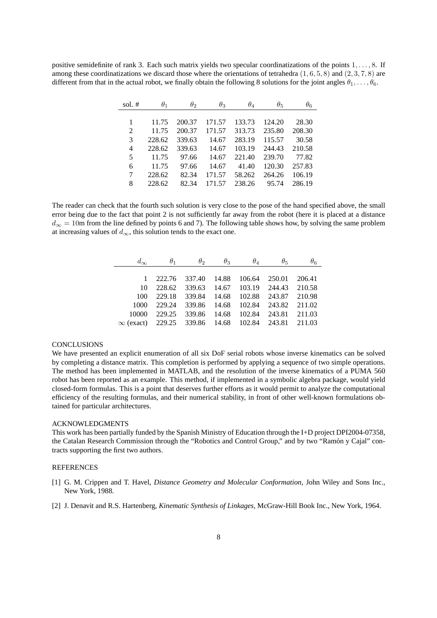positive semidefinite of rank 3. Each such matrix yields two specular coordinatizations of the points 1,..., 8. If among these coordinatizations we discard those where the orientations of tetrahedra  $(1, 6, 5, 8)$  and  $(2, 3, 7, 8)$  are different from that in the actual robot, we finally obtain the following 8 solutions for the joint angles  $\theta_1, \ldots, \theta_6$ .

| sol. $#$ | $\theta_1$ | $\theta_2$ | $\theta_3$ | $\theta_4$ | $\theta_{5}$ | $\theta_6$ |
|----------|------------|------------|------------|------------|--------------|------------|
|          |            |            |            |            |              |            |
|          | 11.75      | 200.37     | 171.57     | 133.73     | 124.20       | 28.30      |
| 2        | 11.75      | 200.37     | 171.57     | 313.73     | 235.80       | 208.30     |
| 3        | 228.62     | 339.63     | 14.67      | 283.19     | 115.57       | 30.58      |
| 4        | 228.62     | 339.63     | 14.67      | 103.19     | 244.43       | 210.58     |
| 5        | 11.75      | 97.66      | 14.67      | 221.40     | 239.70       | 77.82      |
| 6        | 11.75      | 97.66      | 14.67      | 41.40      | 120.30       | 257.83     |
| 7        | 228.62     | 82.34      | 171.57     | 58.262     | 264.26       | 106.19     |
| 8        | 228.62     | 82.34      | 171.57     | 238.26     | 95.74        | 286.19     |

The reader can check that the fourth such solution is very close to the pose of the hand specified above, the small error being due to the fact that point 2 is not sufficiently far away from the robot (here it is placed at a distance  $d_{\infty} = 10$ m from the line defined by points 6 and 7). The following table shows how, by solving the same problem at increasing values of  $d_{\infty}$ , this solution tends to the exact one.

|                                                           | $\theta_1$                          | $\theta_2$                        | $\theta_3$ | $\theta_{\scriptscriptstyle{A}}$ | $\theta_{5}$  | $\theta_6$ |
|-----------------------------------------------------------|-------------------------------------|-----------------------------------|------------|----------------------------------|---------------|------------|
|                                                           |                                     |                                   |            |                                  |               |            |
|                                                           | 1 222.76 337.40 14.88 106.64 250.01 |                                   |            |                                  |               | 206.41     |
| 10                                                        | 228.62                              |                                   |            | 339.63 14.67 103.19 244.43       |               | 210.58     |
| 100                                                       |                                     | 229.18 339.84                     |            | 14.68 102.88 243.87              |               | 210.98     |
| 1000                                                      |                                     | 229.24 339.86 14.68 102.84 243.82 |            |                                  |               | 211.02     |
| 10000                                                     | 229.25                              | 339.86                            | 14.68      |                                  | 102.84 243.81 | 211.03     |
| $\infty$ (exact) 229.25 339.86 14.68 102.84 243.81 211.03 |                                     |                                   |            |                                  |               |            |

#### **CONCLUSIONS**

We have presented an explicit enumeration of all six DoF serial robots whose inverse kinematics can be solved by completing a distance matrix. This completion is performed by applying a sequence of two simple operations. The method has been implemented in MATLAB, and the resolution of the inverse kinematics of a PUMA 560 robot has been reported as an example. This method, if implemented in a symbolic algebra package, would yield closed-form formulas. This is a point that deserves further efforts as it would permit to analyze the computational efficiency of the resulting formulas, and their numerical stability, in front of other well-known formulations obtained for particular architectures.

#### ACKNOWLEDGMENTS

This work has been partially funded by the Spanish Ministry of Education through the I+D project DPI2004-07358, the Catalan Research Commission through the "Robotics and Control Group," and by two "Ramón y Cajal" contracts supporting the first two authors.

### REFERENCES

- [1] G. M. Crippen and T. Havel, *Distance Geometry and Molecular Conformation*, John Wiley and Sons Inc., New York, 1988.
- [2] J. Denavit and R.S. Hartenberg, *Kinematic Synthesis of Linkages*, McGraw-Hill Book Inc., New York, 1964.